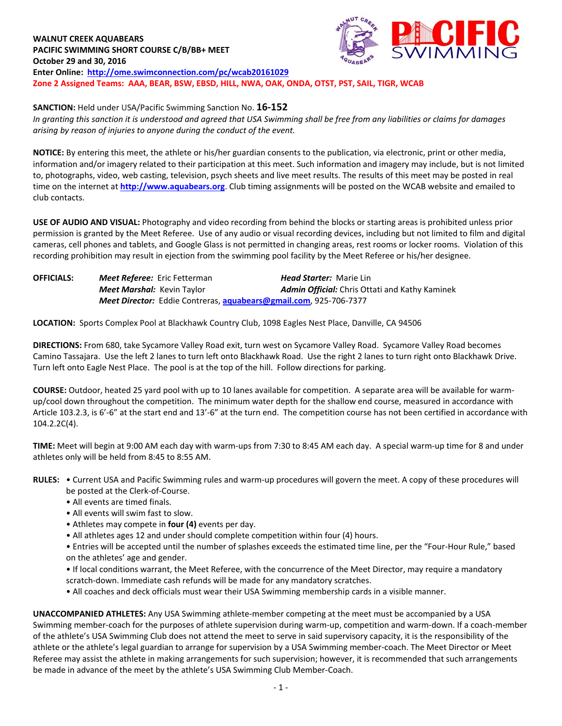**WALNUT CREEK AQUABEARS PACIFIC SWIMMING SHORT COURSE C/B/BB+ MEET October 29 and 30, 2016 Enter Online: <http://ome.swimconnection.com/pc/wcab20161029> Zone 2 Assigned Teams: AAA, BEAR, BSW, EBSD, HILL, NWA, OAK, ONDA, OTST, PST, SAIL, TIGR, WCAB**



**SANCTION:** Held under USA/Pacific Swimming Sanction No. **16-152**

*In granting this sanction it is understood and agreed that USA Swimming shall be free from any liabilities or claims for damages arising by reason of injuries to anyone during the conduct of the event.*

**NOTICE:** By entering this meet, the athlete or his/her guardian consents to the publication, via electronic, print or other media, information and/or imagery related to their participation at this meet. Such information and imagery may include, but is not limited to, photographs, video, web casting, television, psych sheets and live meet results. The results of this meet may be posted in real time on the internet at **[http://www.aquabears.org](http://www.aquabears.org/)**. Club timing assignments will be posted on the WCAB website and emailed to club contacts.

**USE OF AUDIO AND VISUAL:** Photography and video recording from behind the blocks or starting areas is prohibited unless prior permission is granted by the Meet Referee. Use of any audio or visual recording devices, including but not limited to film and digital cameras, cell phones and tablets, and Google Glass is not permitted in changing areas, rest rooms or locker rooms. Violation of this recording prohibition may result in ejection from the swimming pool facility by the Meet Referee or his/her designee.

| <b>OFFICIALS:</b> | <b>Meet Referee:</b> Eric Fetterman                               |  | <b>Head Starter: Marie Lin</b>                        |  |  |  |  |  |
|-------------------|-------------------------------------------------------------------|--|-------------------------------------------------------|--|--|--|--|--|
|                   | <b>Meet Marshal:</b> Kevin Taylor                                 |  | <b>Admin Official:</b> Chris Ottati and Kathy Kaminek |  |  |  |  |  |
|                   | Meet Director: Eddie Contreras, aquabears@gmail.com, 925-706-7377 |  |                                                       |  |  |  |  |  |

**LOCATION:** Sports Complex Pool at Blackhawk Country Club, 1098 Eagles Nest Place, Danville, CA 94506

**DIRECTIONS:** From 680, take Sycamore Valley Road exit, turn west on Sycamore Valley Road. Sycamore Valley Road becomes Camino Tassajara. Use the left 2 lanes to turn left onto Blackhawk Road. Use the right 2 lanes to turn right onto Blackhawk Drive. Turn left onto Eagle Nest Place. The pool is at the top of the hill. Follow directions for parking.

**COURSE:** Outdoor, heated 25 yard pool with up to 10 lanes available for competition. A separate area will be available for warmup/cool down throughout the competition. The minimum water depth for the shallow end course, measured in accordance with Article 103.2.3, is 6'-6" at the start end and 13'-6" at the turn end. The competition course has not been certified in accordance with 104.2.2C(4).

**TIME:** Meet will begin at 9:00 AM each day with warm-ups from 7:30 to 8:45 AM each day. A special warm-up time for 8 and under athletes only will be held from 8:45 to 8:55 AM.

- **RULES:** Current USA and Pacific Swimming rules and warm-up procedures will govern the meet. A copy of these procedures will be posted at the Clerk-of-Course.
	- All events are timed finals.
	- All events will swim fast to slow.
	- Athletes may compete in **four (4)** events per day.
	- All athletes ages 12 and under should complete competition within four (4) hours.
	- Entries will be accepted until the number of splashes exceeds the estimated time line, per the "Four-Hour Rule," based on the athletes' age and gender.
	- If local conditions warrant, the Meet Referee, with the concurrence of the Meet Director, may require a mandatory scratch-down. Immediate cash refunds will be made for any mandatory scratches.
	- All coaches and deck officials must wear their USA Swimming membership cards in a visible manner.

**UNACCOMPANIED ATHLETES:** Any USA Swimming athlete-member competing at the meet must be accompanied by a USA Swimming member-coach for the purposes of athlete supervision during warm-up, competition and warm-down. If a coach-member of the athlete's USA Swimming Club does not attend the meet to serve in said supervisory capacity, it is the responsibility of the athlete or the athlete's legal guardian to arrange for supervision by a USA Swimming member-coach. The Meet Director or Meet Referee may assist the athlete in making arrangements for such supervision; however, it is recommended that such arrangements be made in advance of the meet by the athlete's USA Swimming Club Member-Coach.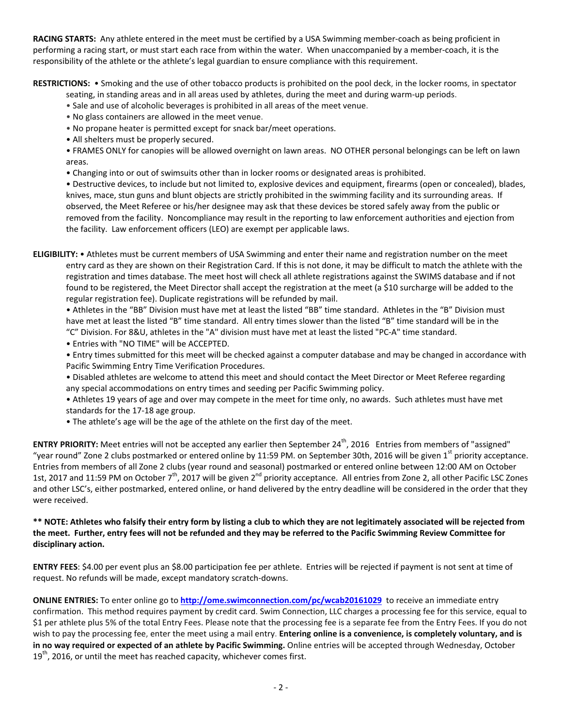**RACING STARTS:** Any athlete entered in the meet must be certified by a USA Swimming member-coach as being proficient in performing a racing start, or must start each race from within the water. When unaccompanied by a member-coach, it is the responsibility of the athlete or the athlete's legal guardian to ensure compliance with this requirement.

**RESTRICTIONS:** • Smoking and the use of other tobacco products is prohibited on the pool deck, in the locker rooms, in spectator

seating, in standing areas and in all areas used by athletes, during the meet and during warm-up periods.

- Sale and use of alcoholic beverages is prohibited in all areas of the meet venue.
- No glass containers are allowed in the meet venue.
- No propane heater is permitted except for snack bar/meet operations.
- All shelters must be properly secured.

• FRAMES ONLY for canopies will be allowed overnight on lawn areas. NO OTHER personal belongings can be left on lawn areas.

• Changing into or out of swimsuits other than in locker rooms or designated areas is prohibited.

• Destructive devices, to include but not limited to, explosive devices and equipment, firearms (open or concealed), blades, knives, mace, stun guns and blunt objects are strictly prohibited in the swimming facility and its surrounding areas. If observed, the Meet Referee or his/her designee may ask that these devices be stored safely away from the public or removed from the facility. Noncompliance may result in the reporting to law enforcement authorities and ejection from the facility. Law enforcement officers (LEO) are exempt per applicable laws.

**ELIGIBILITY:** • Athletes must be current members of USA Swimming and enter their name and registration number on the meet entry card as they are shown on their Registration Card. If this is not done, it may be difficult to match the athlete with the registration and times database. The meet host will check all athlete registrations against the SWIMS database and if not found to be registered, the Meet Director shall accept the registration at the meet (a \$10 surcharge will be added to the regular registration fee). Duplicate registrations will be refunded by mail.

• Athletes in the "BB" Division must have met at least the listed "BB" time standard. Athletes in the "B" Division must have met at least the listed "B" time standard. All entry times slower than the listed "B" time standard will be in the "C" Division. For 8&U, athletes in the "A" division must have met at least the listed "PC-A" time standard.

- Entries with "NO TIME" will be ACCEPTED.
- Entry times submitted for this meet will be checked against a computer database and may be changed in accordance with Pacific Swimming Entry Time Verification Procedures.
- Disabled athletes are welcome to attend this meet and should contact the Meet Director or Meet Referee regarding any special accommodations on entry times and seeding per Pacific Swimming policy.

• Athletes 19 years of age and over may compete in the meet for time only, no awards. Such athletes must have met standards for the 17-18 age group.

• The athlete's age will be the age of the athlete on the first day of the meet.

**ENTRY PRIORITY:** Meet entries will not be accepted any earlier then September 24<sup>th</sup>, 2016 Entries from members of "assigned" "year round" Zone 2 clubs postmarked or entered online by 11:59 PM. on September 30th, 2016 will be given 1<sup>st</sup> priority acceptance. Entries from members of all Zone 2 clubs (year round and seasonal) postmarked or entered online between 12:00 AM on October 1st, 2017 and 11:59 PM on October 7<sup>th</sup>, 2017 will be given 2<sup>nd</sup> priority acceptance. All entries from Zone 2, all other Pacific LSC Zones and other LSC's, either postmarked, entered online, or hand delivered by the entry deadline will be considered in the order that they were received.

## **\*\* NOTE: Athletes who falsify their entry form by listing a club to which they are not legitimately associated will be rejected from the meet. Further, entry fees will not be refunded and they may be referred to the Pacific Swimming Review Committee for disciplinary action.**

**ENTRY FEES**: \$4.00 per event plus an \$8.00 participation fee per athlete. Entries will be rejected if payment is not sent at time of request. No refunds will be made, except mandatory scratch-downs.

**ONLINE ENTRIES:** To enter online go to **<http://ome.swimconnection.com/pc/wcab20161029>** to receive an immediate entry confirmation. This method requires payment by credit card. Swim Connection, LLC charges a processing fee for this service, equal to \$1 per athlete plus 5% of the total Entry Fees. Please note that the processing fee is a separate fee from the Entry Fees. If you do not wish to pay the processing fee, enter the meet using a mail entry. **Entering online is a convenience, is completely voluntary, and is in no way required or expected of an athlete by Pacific Swimming.** Online entries will be accepted through Wednesday, October  $19<sup>th</sup>$ , 2016, or until the meet has reached capacity, whichever comes first.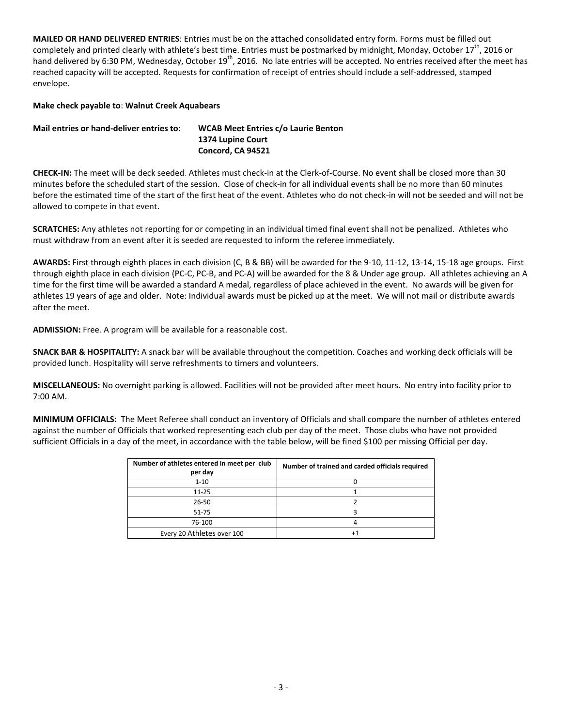**MAILED OR HAND DELIVERED ENTRIES**: Entries must be on the attached consolidated entry form. Forms must be filled out completely and printed clearly with athlete's best time. Entries must be postmarked by midnight, Monday, October 17<sup>th</sup>, 2016 or hand delivered by 6:30 PM, Wednesday, October 19<sup>th</sup>, 2016. No late entries will be accepted. No entries received after the meet has reached capacity will be accepted. Requests for confirmation of receipt of entries should include a self-addressed, stamped envelope.

## **Make check payable to**: **Walnut Creek Aquabears**

| Mail entries or hand-deliver entries to: | <b>WCAB Meet Entries c/o Laurie Benton</b> |
|------------------------------------------|--------------------------------------------|
|                                          | 1374 Lupine Court                          |
|                                          | Concord, CA 94521                          |

**CHECK-IN:** The meet will be deck seeded. Athletes must check-in at the Clerk-of-Course. No event shall be closed more than 30 minutes before the scheduled start of the session. Close of check-in for all individual events shall be no more than 60 minutes before the estimated time of the start of the first heat of the event. Athletes who do not check-in will not be seeded and will not be allowed to compete in that event.

**SCRATCHES:** Any athletes not reporting for or competing in an individual timed final event shall not be penalized. Athletes who must withdraw from an event after it is seeded are requested to inform the referee immediately.

**AWARDS:** First through eighth places in each division (C, B & BB) will be awarded for the 9-10, 11-12, 13-14, 15-18 age groups. First through eighth place in each division (PC-C, PC-B, and PC-A) will be awarded for the 8 & Under age group. All athletes achieving an A time for the first time will be awarded a standard A medal, regardless of place achieved in the event. No awards will be given for athletes 19 years of age and older. Note: Individual awards must be picked up at the meet. We will not mail or distribute awards after the meet.

**ADMISSION:** Free. A program will be available for a reasonable cost.

**SNACK BAR & HOSPITALITY:** A snack bar will be available throughout the competition. Coaches and working deck officials will be provided lunch. Hospitality will serve refreshments to timers and volunteers.

**MISCELLANEOUS:** No overnight parking is allowed. Facilities will not be provided after meet hours. No entry into facility prior to 7:00 AM.

**MINIMUM OFFICIALS:** The Meet Referee shall conduct an inventory of Officials and shall compare the number of athletes entered against the number of Officials that worked representing each club per day of the meet. Those clubs who have not provided sufficient Officials in a day of the meet, in accordance with the table below, will be fined \$100 per missing Official per day.

| Number of athletes entered in meet per club<br>per day | Number of trained and carded officials required |  |  |  |  |  |
|--------------------------------------------------------|-------------------------------------------------|--|--|--|--|--|
| $1 - 10$                                               |                                                 |  |  |  |  |  |
| $11 - 25$                                              |                                                 |  |  |  |  |  |
| $26 - 50$                                              |                                                 |  |  |  |  |  |
| $51 - 75$                                              |                                                 |  |  |  |  |  |
| 76-100                                                 |                                                 |  |  |  |  |  |
| Every 20 Athletes over 100                             |                                                 |  |  |  |  |  |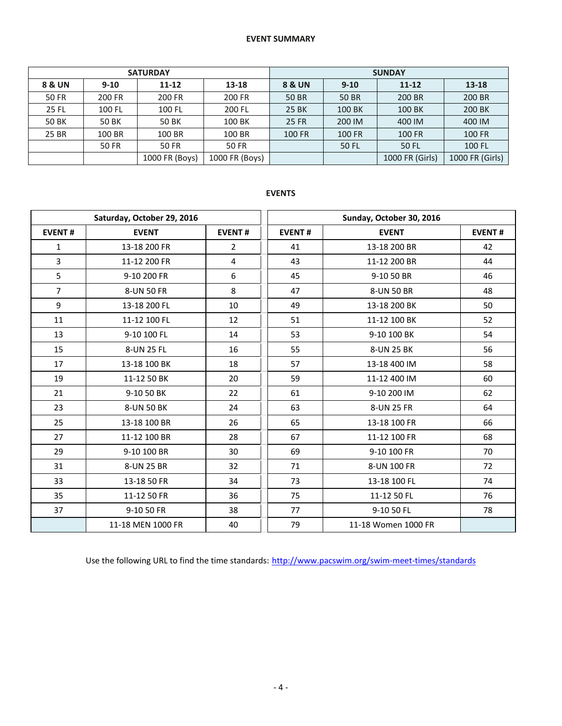## **EVENT SUMMARY**

|                   |          | <b>SATURDAY</b> |                | <b>SUNDAY</b> |          |                 |                 |  |  |
|-------------------|----------|-----------------|----------------|---------------|----------|-----------------|-----------------|--|--|
| <b>8 &amp; UN</b> | $9 - 10$ | $11 - 12$       | 13-18          | 8 & UN        | $9 - 10$ | $11 - 12$       | $13 - 18$       |  |  |
| 50 FR             | 200 FR   | 200 FR          | 200 FR         | <b>50 BR</b>  | 50 BR    | 200 BR          | 200 BR          |  |  |
| 25 FL             | 100 FL   | 100 FL          | 200 FL         | <b>25 BK</b>  | 100 BK   | 100 BK          | 200 BK          |  |  |
| <b>50 BK</b>      | 50 BK    | 50 BK           | 100 BK         | <b>25 FR</b>  | 200 IM   | 400 IM          | 400 IM          |  |  |
| 25 BR             | 100 BR   | 100 BR          | 100 BR         | 100 FR        | 100 FR   | 100 FR          | <b>100 FR</b>   |  |  |
|                   | 50 FR    | 50 FR           | 50 FR          |               | 50 FL    | 50 FL           | 100 FL          |  |  |
|                   |          | 1000 FR (Boys)  | 1000 FR (Boys) |               |          | 1000 FR (Girls) | 1000 FR (Girls) |  |  |

## **EVENTS**

|                | Saturday, October 29, 2016    |                | Sunday, October 30, 2016 |                     |               |  |  |
|----------------|-------------------------------|----------------|--------------------------|---------------------|---------------|--|--|
| <b>EVENT#</b>  | <b>EVENT</b><br><b>EVENT#</b> |                | <b>EVENT#</b>            | <b>EVENT</b>        | <b>EVENT#</b> |  |  |
| $\mathbf{1}$   | 13-18 200 FR                  | $\overline{2}$ | 41                       | 13-18 200 BR        | 42            |  |  |
| $\overline{3}$ | 11-12 200 FR                  | 4              | 43                       | 11-12 200 BR        | 44            |  |  |
| 5              | 9-10 200 FR                   | 6              | 45                       | 9-10 50 BR          | 46            |  |  |
| $\overline{7}$ | 8-UN 50 FR                    | 8              | 47                       | 8-UN 50 BR          | 48            |  |  |
| 9              | 13-18 200 FL                  | 10             | 49                       | 13-18 200 BK        | 50            |  |  |
| 11             | 11-12 100 FL                  | 12             | 51                       | 11-12 100 BK        | 52            |  |  |
| 13             | 9-10 100 FL                   | 14             | 53                       | 9-10 100 BK         | 54            |  |  |
| 15             | 8-UN 25 FL                    | 16             | 55                       | 8-UN 25 BK          | 56            |  |  |
| 17             | 13-18 100 BK                  | 18             | 57                       | 13-18 400 IM        | 58            |  |  |
| 19             | 11-12 50 BK                   | 20             | 59                       | 11-12 400 IM        | 60            |  |  |
| 21             | 9-10 50 BK                    | 22             | 61                       | 9-10 200 IM         | 62            |  |  |
| 23             | 8-UN 50 BK                    | 24             | 63                       | 8-UN 25 FR          | 64            |  |  |
| 25             | 13-18 100 BR                  | 26             | 65                       | 13-18 100 FR        | 66            |  |  |
| 27             | 11-12 100 BR                  | 28             | 67                       | 11-12 100 FR        | 68            |  |  |
| 29             | 9-10 100 BR                   | 30             | 69                       | 9-10 100 FR         | 70            |  |  |
| 31             | 8-UN 25 BR                    | 32             | 71                       | 8-UN 100 FR         | 72            |  |  |
| 33             | 13-18 50 FR                   | 34             | 73                       | 13-18 100 FL        | 74            |  |  |
| 35             | 11-12 50 FR                   | 36             | 75                       | 11-12 50 FL         | 76            |  |  |
| 37             | 9-10 50 FR                    | 38             | 77                       | 9-10 50 FL          | 78            |  |  |
|                | 11-18 MEN 1000 FR             | 40             | 79                       | 11-18 Women 1000 FR |               |  |  |

Use the following URL to find the time standards: <http://www.pacswim.org/swim-meet-times/standards>